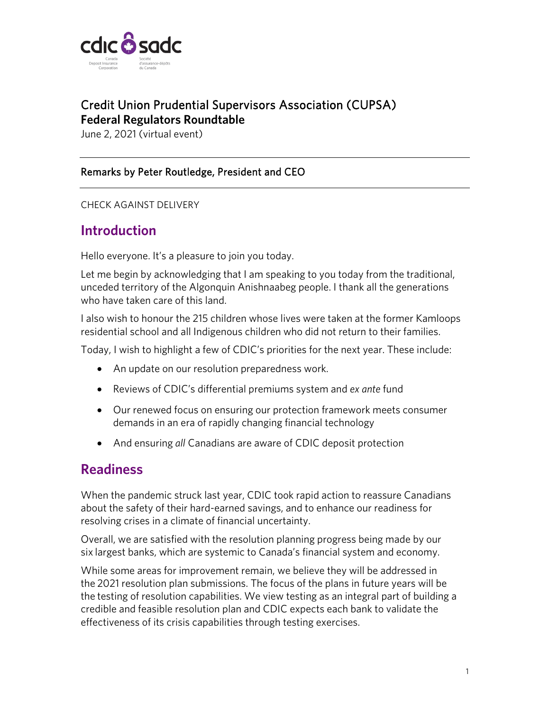

## Credit Union Prudential Supervisors Association (CUPSA) **Federal Regulators Roundtable**

June 2, 2021 (virtual event)

#### Remarks by Peter Routledge, President and CEO

CHECK AGAINST DELIVERY

## **Introduction**

Hello everyone. It's a pleasure to join you today.

Let me begin by acknowledging that I am speaking to you today from the traditional, unceded territory of the Algonquin Anishnaabeg people. I thank all the generations who have taken care of this land.

I also wish to honour the 215 children whose lives were taken at the former Kamloops residential school and all Indigenous children who did not return to their families.

Today, I wish to highlight a few of CDIC's priorities for the next year. These include:

- An update on our resolution preparedness work.
- Reviews of CDIC's differential premiums system and *ex ante* fund
- Our renewed focus on ensuring our protection framework meets consumer demands in an era of rapidly changing financial technology
- And ensuring *all* Canadians are aware of CDIC deposit protection

### **Readiness**

When the pandemic struck last year, CDIC took rapid action to reassure Canadians about the safety of their hard-earned savings, and to enhance our readiness for resolving crises in a climate of financial uncertainty.

Overall, we are satisfied with the resolution planning progress being made by our six largest banks, which are systemic to Canada's financial system and economy.

While some areas for improvement remain, we believe they will be addressed in the 2021 resolution plan submissions. The focus of the plans in future years will be the testing of resolution capabilities. We view testing as an integral part of building a credible and feasible resolution plan and CDIC expects each bank to validate the effectiveness of its crisis capabilities through testing exercises.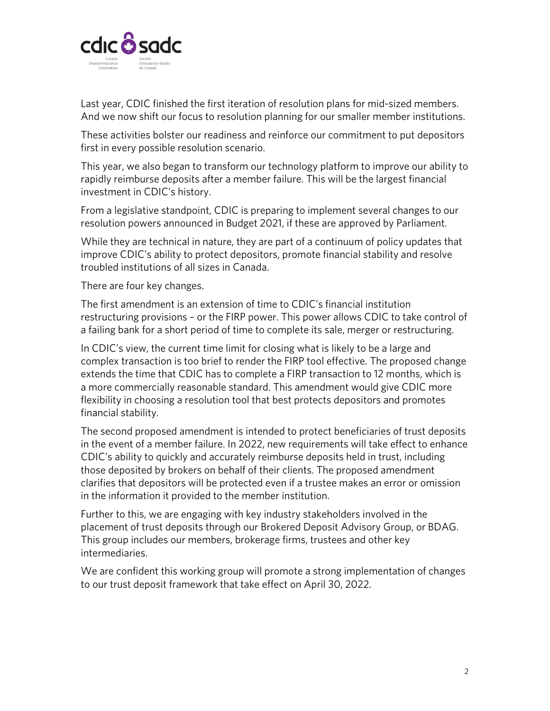

Last year, CDIC finished the first iteration of resolution plans for mid-sized members. And we now shift our focus to resolution planning for our smaller member institutions.

These activities bolster our readiness and reinforce our commitment to put depositors first in every possible resolution scenario.

This year, we also began to transform our technology platform to improve our ability to rapidly reimburse deposits after a member failure. This will be the largest financial investment in CDIC's history.

From a legislative standpoint, CDIC is preparing to implement several changes to our resolution powers announced in Budget 2021, if these are approved by Parliament.

While they are technical in nature, they are part of a continuum of policy updates that improve CDIC's ability to protect depositors, promote financial stability and resolve troubled institutions of all sizes in Canada.

There are four key changes.

The first amendment is an extension of time to CDIC's financial institution restructuring provisions – or the FIRP power. This power allows CDIC to take control of a failing bank for a short period of time to complete its sale, merger or restructuring.

In CDIC's view, the current time limit for closing what is likely to be a large and complex transaction is too brief to render the FIRP tool effective. The proposed change extends the time that CDIC has to complete a FIRP transaction to 12 months, which is a more commercially reasonable standard. This amendment would give CDIC more flexibility in choosing a resolution tool that best protects depositors and promotes financial stability.

The second proposed amendment is intended to protect beneficiaries of trust deposits in the event of a member failure. In 2022, new requirements will take effect to enhance CDIC's ability to quickly and accurately reimburse deposits held in trust, including those deposited by brokers on behalf of their clients. The proposed amendment clarifies that depositors will be protected even if a trustee makes an error or omission in the information it provided to the member institution.

Further to this, we are engaging with key industry stakeholders involved in the placement of trust deposits through our Brokered Deposit Advisory Group, or BDAG. This group includes our members, brokerage firms, trustees and other key intermediaries.

We are confident this working group will promote a strong implementation of changes to our trust deposit framework that take effect on April 30, 2022.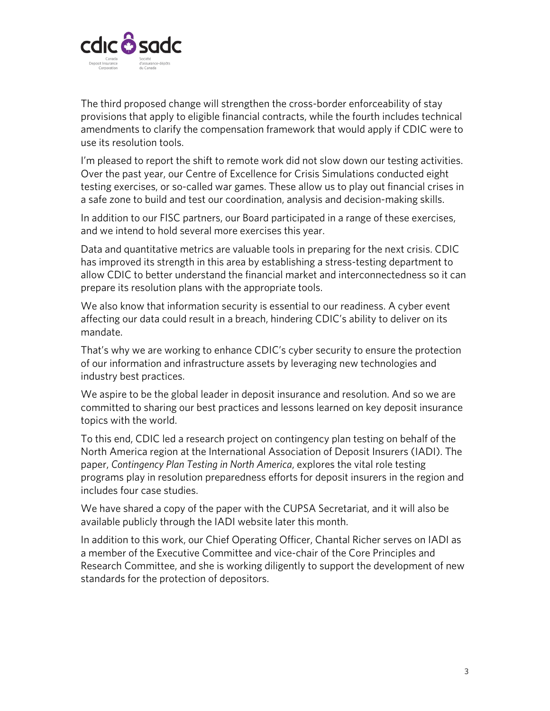

The third proposed change will strengthen the cross-border enforceability of stay provisions that apply to eligible financial contracts, while the fourth includes technical amendments to clarify the compensation framework that would apply if CDIC were to use its resolution tools.

I'm pleased to report the shift to remote work did not slow down our testing activities. Over the past year, our Centre of Excellence for Crisis Simulations conducted eight testing exercises, or so-called war games. These allow us to play out financial crises in a safe zone to build and test our coordination, analysis and decision-making skills.

In addition to our FISC partners, our Board participated in a range of these exercises, and we intend to hold several more exercises this year.

Data and quantitative metrics are valuable tools in preparing for the next crisis. CDIC has improved its strength in this area by establishing a stress-testing department to allow CDIC to better understand the financial market and interconnectedness so it can prepare its resolution plans with the appropriate tools.

We also know that information security is essential to our readiness. A cyber event affecting our data could result in a breach, hindering CDIC's ability to deliver on its mandate.

That's why we are working to enhance CDIC's cyber security to ensure the protection of our information and infrastructure assets by leveraging new technologies and industry best practices.

We aspire to be the global leader in deposit insurance and resolution. And so we are committed to sharing our best practices and lessons learned on key deposit insurance topics with the world.

To this end, CDIC led a research project on contingency plan testing on behalf of the North America region at the International Association of Deposit Insurers (IADI). The paper, *Contingency Plan Testing in North America*, explores the vital role testing programs play in resolution preparedness efforts for deposit insurers in the region and includes four case studies.

We have shared a copy of the paper with the CUPSA Secretariat, and it will also be available publicly through the IADI website later this month.

In addition to this work, our Chief Operating Officer, Chantal Richer serves on IADI as a member of the Executive Committee and vice-chair of the Core Principles and Research Committee, and she is working diligently to support the development of new standards for the protection of depositors.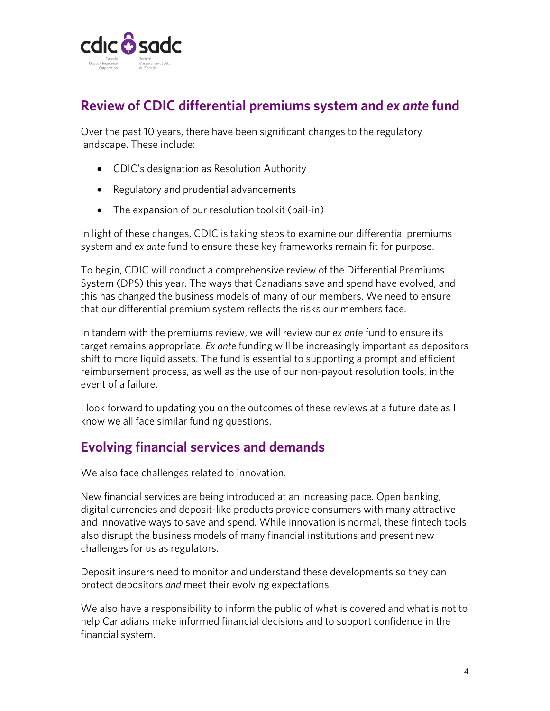

## **Review of CDIC differential premiums system and** *ex ante* **fund**

Over the past 10 years, there have been significant changes to the regulatory landscape. These include:

- CDIC's designation as Resolution Authority
- Regulatory and prudential advancements
- The expansion of our resolution toolkit (bail-in)

In light of these changes, CDIC is taking steps to examine our differential premiums system and *ex ante* fund to ensure these key frameworks remain fit for purpose.

To begin, CDIC will conduct a comprehensive review of the Differential Premiums System (DPS) this year. The ways that Canadians save and spend have evolved, and this has changed the business models of many of our members. We need to ensure that our differential premium system reflects the risks our members face.

In tandem with the premiums review, we will review our *ex ante* fund to ensure its target remains appropriate. *Ex ante* funding will be increasingly important as depositors shift to more liquid assets. The fund is essential to supporting a prompt and efficient reimbursement process, as well as the use of our non-payout resolution tools, in the event of a failure.

I look forward to updating you on the outcomes of these reviews at a future date as I know we all face similar funding questions.

## **Evolving financial services and demands**

We also face challenges related to innovation.

New financial services are being introduced at an increasing pace. Open banking, digital currencies and deposit-like products provide consumers with many attractive and innovative ways to save and spend. While innovation is normal, these fintech tools also disrupt the business models of many financial institutions and present new challenges for us as regulators.

Deposit insurers need to monitor and understand these developments so they can protect depositors *and* meet their evolving expectations.

We also have a responsibility to inform the public of what is covered and what is not to help Canadians make informed financial decisions and to support confidence in the financial system.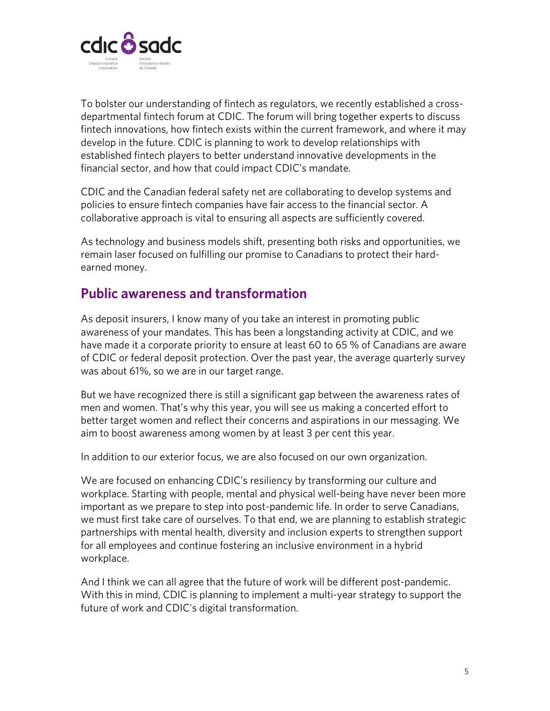

To bolster our understanding of fintech as regulators, we recently established a crossdepartmental fintech forum at CDIC. The forum will bring together experts to discuss fintech innovations, how fintech exists within the current framework, and where it may develop in the future. CDIC is planning to work to develop relationships with established fintech players to better understand innovative developments in the financial sector, and how that could impact CDIC's mandate.

CDIC and the Canadian federal safety net are collaborating to develop systems and policies to ensure fintech companies have fair access to the financial sector. A collaborative approach is vital to ensuring all aspects are sufficiently covered.

As technology and business models shift, presenting both risks and opportunities, we remain laser focused on fulfilling our promise to Canadians to protect their hardearned money.

## **Public awareness and transformation**

As deposit insurers, I know many of you take an interest in promoting public awareness of your mandates. This has been a longstanding activity at CDIC, and we have made it a corporate priority to ensure at least 60 to 65 % of Canadians are aware of CDIC or federal deposit protection. Over the past year, the average quarterly survey was about 61%, so we are in our target range.

But we have recognized there is still a significant gap between the awareness rates of men and women. That's why this year, you will see us making a concerted effort to better target women and reflect their concerns and aspirations in our messaging. We aim to boost awareness among women by at least 3 per cent this year.

In addition to our exterior focus, we are also focused on our own organization.

We are focused on enhancing CDIC's resiliency by transforming our culture and workplace. Starting with people, mental and physical well-being have never been more important as we prepare to step into post-pandemic life. In order to serve Canadians, we must first take care of ourselves. To that end, we are planning to establish strategic partnerships with mental health, diversity and inclusion experts to strengthen support for all employees and continue fostering an inclusive environment in a hybrid workplace.

And I think we can all agree that the future of work will be different post-pandemic. With this in mind, CDIC is planning to implement a multi-year strategy to support the future of work and CDIC's digital transformation.